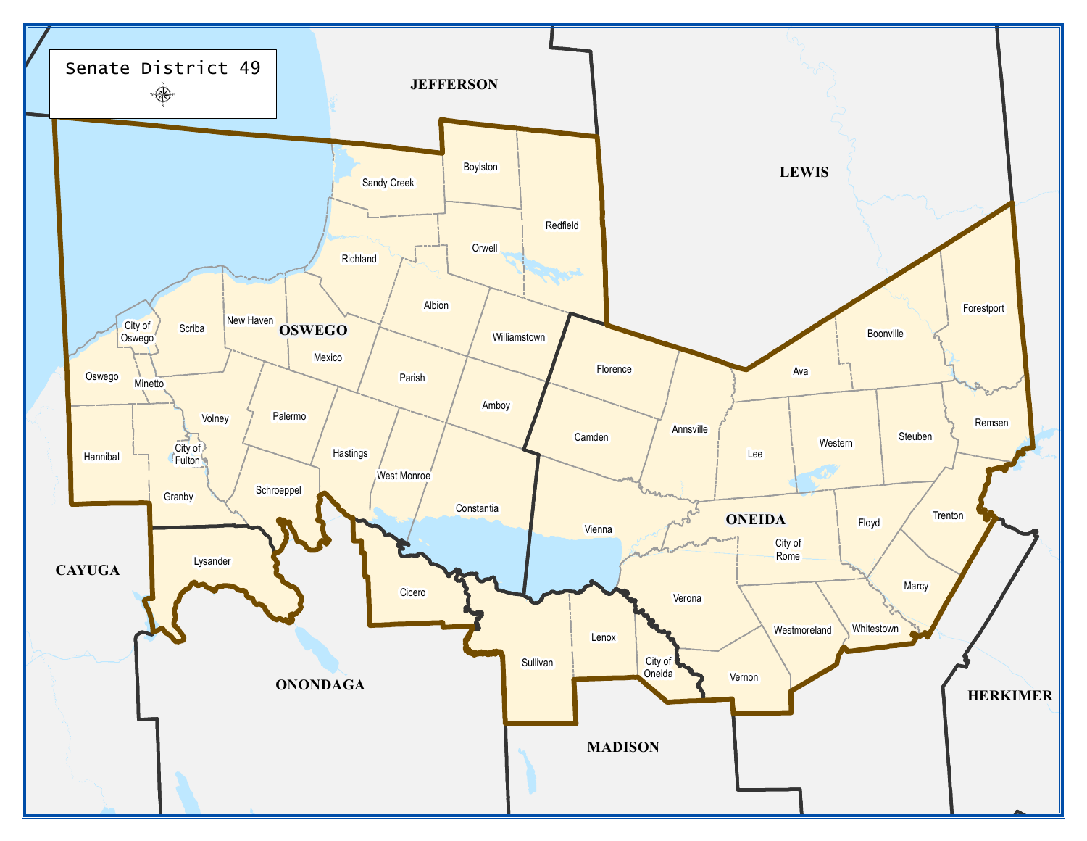